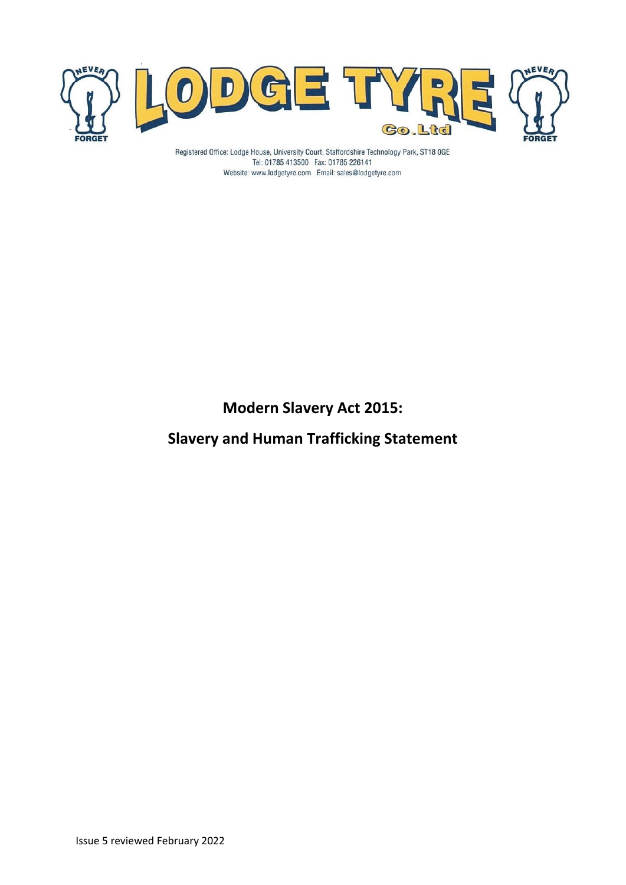

Registered Office: Lodge House, University Court, Staffordshire Technology Park, ST18 OGE Tel: 01785 413500 Fax: 01785 226141 Website: www.lodgetyre.com Email: sales@lodgetyre.com

# **Modern Slavery Act 2015:**

# **Slavery and Human Trafficking Statement**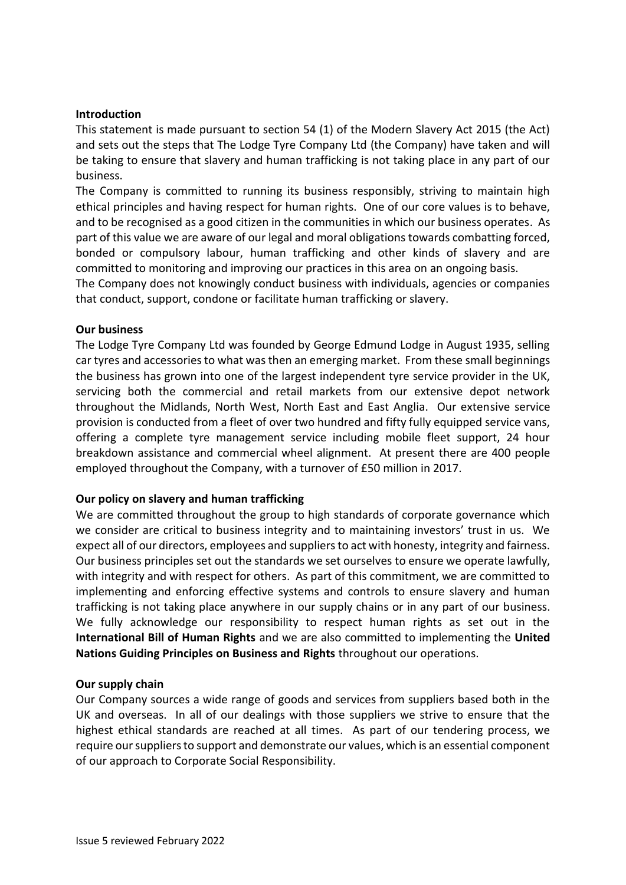#### **Introduction**

This statement is made pursuant to section 54 (1) of the Modern Slavery Act 2015 (the Act) and sets out the steps that The Lodge Tyre Company Ltd (the Company) have taken and will be taking to ensure that slavery and human trafficking is not taking place in any part of our business.

The Company is committed to running its business responsibly, striving to maintain high ethical principles and having respect for human rights. One of our core values is to behave, and to be recognised as a good citizen in the communities in which our business operates. As part of this value we are aware of our legal and moral obligations towards combatting forced, bonded or compulsory labour, human trafficking and other kinds of slavery and are committed to monitoring and improving our practices in this area on an ongoing basis.

The Company does not knowingly conduct business with individuals, agencies or companies that conduct, support, condone or facilitate human trafficking or slavery.

#### **Our business**

The Lodge Tyre Company Ltd was founded by George Edmund Lodge in August 1935, selling car tyres and accessories to what was then an emerging market. From these small beginnings the business has grown into one of the largest independent tyre service provider in the UK, servicing both the commercial and retail markets from our extensive depot network throughout the Midlands, North West, North East and East Anglia. Our extensive service provision is conducted from a fleet of over two hundred and fifty fully equipped service vans, offering a complete tyre management service including mobile fleet support, 24 hour breakdown assistance and commercial wheel alignment. At present there are 400 people employed throughout the Company, with a turnover of £50 million in 2017.

#### **Our policy on slavery and human trafficking**

We are committed throughout the group to high standards of corporate governance which we consider are critical to business integrity and to maintaining investors' trust in us. We expect all of our directors, employees and suppliers to act with honesty, integrity and fairness. Our business principles set out the standards we set ourselves to ensure we operate lawfully, with integrity and with respect for others. As part of this commitment, we are committed to implementing and enforcing effective systems and controls to ensure slavery and human trafficking is not taking place anywhere in our supply chains or in any part of our business. We fully acknowledge our responsibility to respect human rights as set out in the **International Bill of Human Rights** and we are also committed to implementing the **United Nations Guiding Principles on Business and Rights** throughout our operations.

#### **Our supply chain**

Our Company sources a wide range of goods and services from suppliers based both in the UK and overseas. In all of our dealings with those suppliers we strive to ensure that the highest ethical standards are reached at all times. As part of our tendering process, we require our suppliers to support and demonstrate our values, which is an essential component of our approach to Corporate Social Responsibility.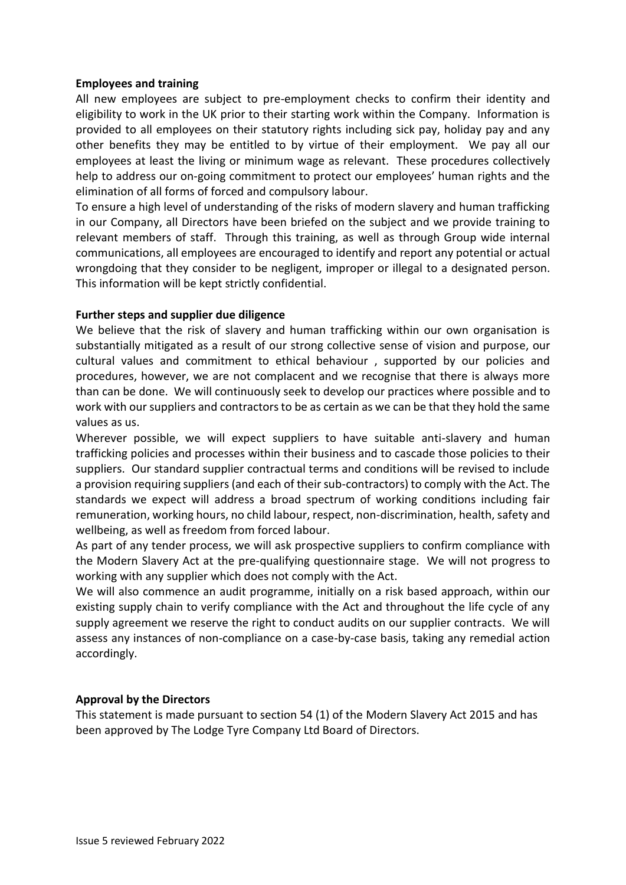#### **Employees and training**

All new employees are subject to pre-employment checks to confirm their identity and eligibility to work in the UK prior to their starting work within the Company. Information is provided to all employees on their statutory rights including sick pay, holiday pay and any other benefits they may be entitled to by virtue of their employment. We pay all our employees at least the living or minimum wage as relevant. These procedures collectively help to address our on-going commitment to protect our employees' human rights and the elimination of all forms of forced and compulsory labour.

To ensure a high level of understanding of the risks of modern slavery and human trafficking in our Company, all Directors have been briefed on the subject and we provide training to relevant members of staff. Through this training, as well as through Group wide internal communications, all employees are encouraged to identify and report any potential or actual wrongdoing that they consider to be negligent, improper or illegal to a designated person. This information will be kept strictly confidential.

## **Further steps and supplier due diligence**

We believe that the risk of slavery and human trafficking within our own organisation is substantially mitigated as a result of our strong collective sense of vision and purpose, our cultural values and commitment to ethical behaviour , supported by our policies and procedures, however, we are not complacent and we recognise that there is always more than can be done. We will continuously seek to develop our practices where possible and to work with our suppliers and contractors to be as certain as we can be that they hold the same values as us.

Wherever possible, we will expect suppliers to have suitable anti-slavery and human trafficking policies and processes within their business and to cascade those policies to their suppliers. Our standard supplier contractual terms and conditions will be revised to include a provision requiring suppliers (and each of their sub-contractors) to comply with the Act. The standards we expect will address a broad spectrum of working conditions including fair remuneration, working hours, no child labour, respect, non-discrimination, health, safety and wellbeing, as well as freedom from forced labour.

As part of any tender process, we will ask prospective suppliers to confirm compliance with the Modern Slavery Act at the pre-qualifying questionnaire stage. We will not progress to working with any supplier which does not comply with the Act.

We will also commence an audit programme, initially on a risk based approach, within our existing supply chain to verify compliance with the Act and throughout the life cycle of any supply agreement we reserve the right to conduct audits on our supplier contracts. We will assess any instances of non-compliance on a case-by-case basis, taking any remedial action accordingly.

# **Approval by the Directors**

This statement is made pursuant to section 54 (1) of the Modern Slavery Act 2015 and has been approved by The Lodge Tyre Company Ltd Board of Directors.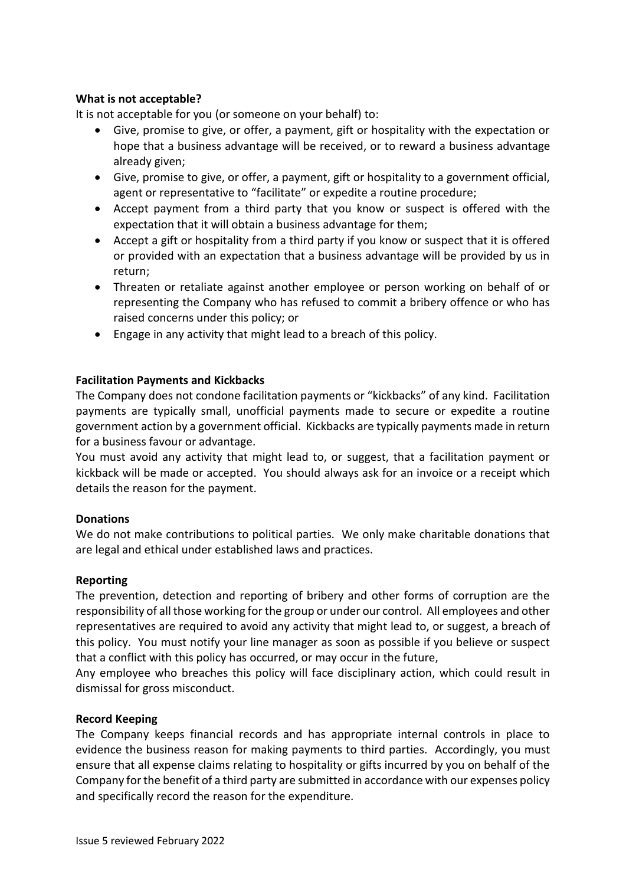## **What is not acceptable?**

It is not acceptable for you (or someone on your behalf) to:

- Give, promise to give, or offer, a payment, gift or hospitality with the expectation or hope that a business advantage will be received, or to reward a business advantage already given;
- Give, promise to give, or offer, a payment, gift or hospitality to a government official, agent or representative to "facilitate" or expedite a routine procedure;
- Accept payment from a third party that you know or suspect is offered with the expectation that it will obtain a business advantage for them;
- Accept a gift or hospitality from a third party if you know or suspect that it is offered or provided with an expectation that a business advantage will be provided by us in return;
- Threaten or retaliate against another employee or person working on behalf of or representing the Company who has refused to commit a bribery offence or who has raised concerns under this policy; or
- Engage in any activity that might lead to a breach of this policy.

## **Facilitation Payments and Kickbacks**

The Company does not condone facilitation payments or "kickbacks" of any kind. Facilitation payments are typically small, unofficial payments made to secure or expedite a routine government action by a government official. Kickbacks are typically payments made in return for a business favour or advantage.

You must avoid any activity that might lead to, or suggest, that a facilitation payment or kickback will be made or accepted. You should always ask for an invoice or a receipt which details the reason for the payment.

#### **Donations**

We do not make contributions to political parties. We only make charitable donations that are legal and ethical under established laws and practices.

# **Reporting**

The prevention, detection and reporting of bribery and other forms of corruption are the responsibility of all those working for the group or under our control. All employees and other representatives are required to avoid any activity that might lead to, or suggest, a breach of this policy. You must notify your line manager as soon as possible if you believe or suspect that a conflict with this policy has occurred, or may occur in the future,

Any employee who breaches this policy will face disciplinary action, which could result in dismissal for gross misconduct.

#### **Record Keeping**

The Company keeps financial records and has appropriate internal controls in place to evidence the business reason for making payments to third parties. Accordingly, you must ensure that all expense claims relating to hospitality or gifts incurred by you on behalf of the Company for the benefit of a third party are submitted in accordance with our expenses policy and specifically record the reason for the expenditure.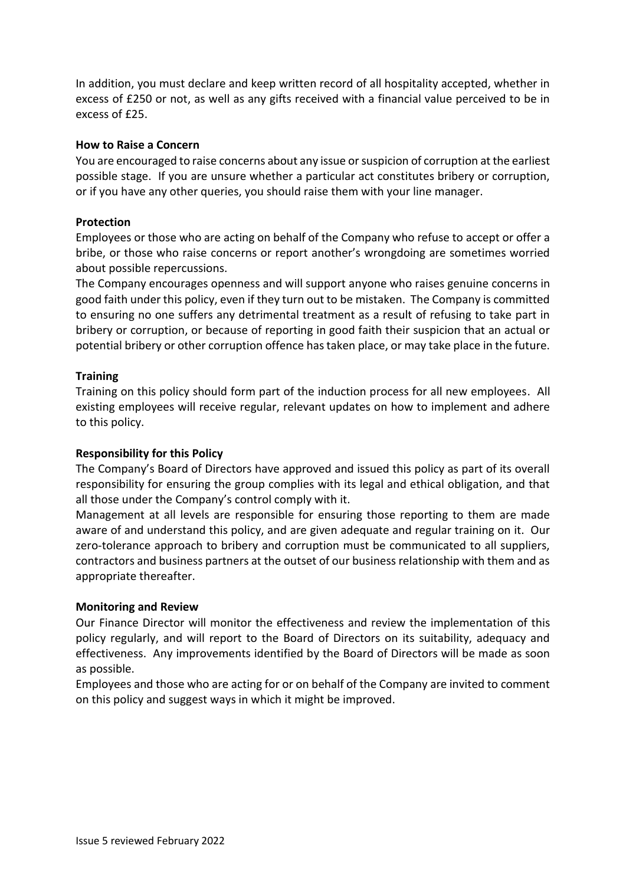In addition, you must declare and keep written record of all hospitality accepted, whether in excess of £250 or not, as well as any gifts received with a financial value perceived to be in excess of £25.

#### **How to Raise a Concern**

You are encouraged to raise concerns about any issue or suspicion of corruption at the earliest possible stage. If you are unsure whether a particular act constitutes bribery or corruption, or if you have any other queries, you should raise them with your line manager.

## **Protection**

Employees or those who are acting on behalf of the Company who refuse to accept or offer a bribe, or those who raise concerns or report another's wrongdoing are sometimes worried about possible repercussions.

The Company encourages openness and will support anyone who raises genuine concerns in good faith under this policy, even if they turn out to be mistaken. The Company is committed to ensuring no one suffers any detrimental treatment as a result of refusing to take part in bribery or corruption, or because of reporting in good faith their suspicion that an actual or potential bribery or other corruption offence has taken place, or may take place in the future.

# **Training**

Training on this policy should form part of the induction process for all new employees. All existing employees will receive regular, relevant updates on how to implement and adhere to this policy.

#### **Responsibility for this Policy**

The Company's Board of Directors have approved and issued this policy as part of its overall responsibility for ensuring the group complies with its legal and ethical obligation, and that all those under the Company's control comply with it.

Management at all levels are responsible for ensuring those reporting to them are made aware of and understand this policy, and are given adequate and regular training on it. Our zero-tolerance approach to bribery and corruption must be communicated to all suppliers, contractors and business partners at the outset of our business relationship with them and as appropriate thereafter.

# **Monitoring and Review**

Our Finance Director will monitor the effectiveness and review the implementation of this policy regularly, and will report to the Board of Directors on its suitability, adequacy and effectiveness. Any improvements identified by the Board of Directors will be made as soon as possible.

Employees and those who are acting for or on behalf of the Company are invited to comment on this policy and suggest ways in which it might be improved.